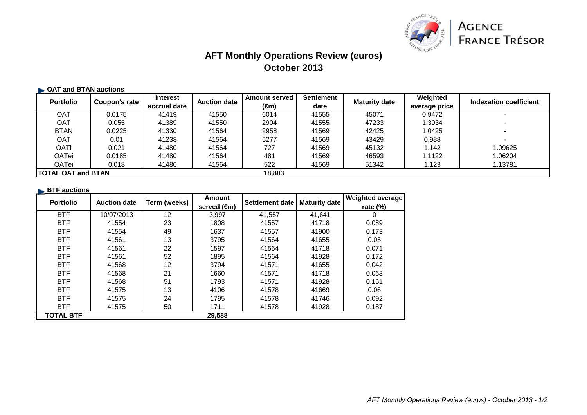

## **AFT Monthly Operations Review (euros)October 2013**

#### **OAT and BTAN auctions**

| <b>Portfolio</b>           | Coupon's rate | <b>Interest</b> | <b>Auction date</b> | <b>Amount served</b>                           | <b>Settlement</b> | <b>Maturity date</b> | Weighted      | Indexation coefficient |
|----------------------------|---------------|-----------------|---------------------|------------------------------------------------|-------------------|----------------------|---------------|------------------------|
|                            |               | accrual date    |                     | $\epsilon$ <sub>(<math>\epsilon</math>m)</sub> | date              |                      | average price |                        |
| OAT                        | 0.0175        | 41419           | 41550               | 6014                                           | 41555             | 45071                | 0.9472        |                        |
| <b>OAT</b>                 | 0.055         | 41389           | 41550               | 2904                                           | 41555             | 47233                | .3034         |                        |
| <b>BTAN</b>                | 0.0225        | 41330           | 41564               | 2958                                           | 41569             | 42425                | 1.0425        |                        |
| <b>OAT</b>                 | 0.01          | 41238           | 41564               | 5277                                           | 41569             | 43429                | 0.988         |                        |
| <b>OATi</b>                | 0.021         | 41480           | 41564               | 727                                            | 41569             | 45132                | 1.142         | .09625                 |
| <b>OATei</b>               | 0.0185        | 41480           | 41564               | 481                                            | 41569             | 46593                | 1.1122        | .06204                 |
| <b>OATei</b>               | 0.018         | 41480           | 41564               | 522                                            | 41569             | 51342                | 1.123         | 1.13781                |
| <b>ITOTAL OAT and BTAN</b> |               |                 |                     | 18,883                                         |                   |                      |               |                        |

#### **BTF** auctions

| <b>Portfolio</b> | <b>Auction date</b> | Term (weeks) | <b>Amount</b> |        | Settlement date   Maturity date | <b>Weighted average</b> |
|------------------|---------------------|--------------|---------------|--------|---------------------------------|-------------------------|
|                  |                     |              | served (€m)   |        |                                 | rate $(\%)$             |
| <b>BTF</b>       | 10/07/2013          | 12           | 3,997         | 41,557 | 41,641                          | 0                       |
| <b>BTF</b>       | 41554               | 23           | 1808          | 41557  | 41718                           | 0.089                   |
| <b>BTF</b>       | 41554               | 49           | 1637          | 41557  | 41900                           | 0.173                   |
| <b>BTF</b>       | 41561               | 13           | 3795          | 41564  | 41655                           | 0.05                    |
| <b>BTF</b>       | 41561               | 22           | 1597          | 41564  | 41718                           | 0.071                   |
| <b>BTF</b>       | 41561               | 52           | 1895          | 41564  | 41928                           | 0.172                   |
| <b>BTF</b>       | 41568               | 12           | 3794          | 41571  | 41655                           | 0.042                   |
| <b>BTF</b>       | 41568               | 21           | 1660          | 41571  | 41718                           | 0.063                   |
| <b>BTF</b>       | 41568               | 51           | 1793          | 41571  | 41928                           | 0.161                   |
| <b>BTF</b>       | 41575               | 13           | 4106          | 41578  | 41669                           | 0.06                    |
| <b>BTF</b>       | 41575               | 24           | 1795          | 41578  | 41746                           | 0.092                   |
| <b>BTF</b>       | 41575               | 50           | 1711          | 41578  | 41928                           | 0.187                   |
| <b>TOTAL BTF</b> |                     |              | 29,588        |        |                                 |                         |